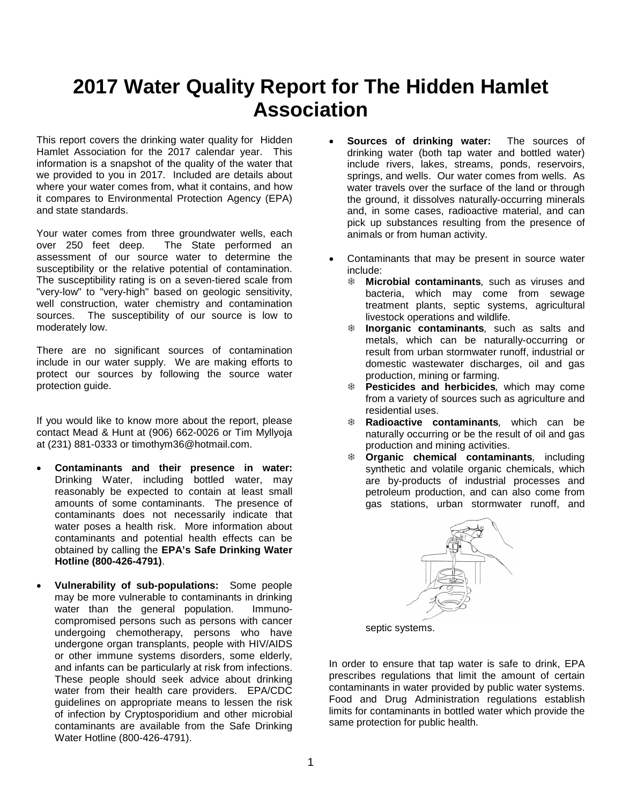# **2017 Water Quality Report for The Hidden Hamlet Association**

This report covers the drinking water quality for Hidden Hamlet Association for the 2017 calendar year. This information is a snapshot of the quality of the water that we provided to you in 2017. Included are details about where your water comes from, what it contains, and how it compares to Environmental Protection Agency (EPA) and state standards.

Your water comes from three groundwater wells, each<br>over 250 feet deep. The State performed an The State performed an assessment of our source water to determine the susceptibility or the relative potential of contamination. The susceptibility rating is on a seven-tiered scale from "very-low" to "very-high" based on geologic sensitivity, well construction, water chemistry and contamination sources. The susceptibility of our source is low to moderately low.

There are no significant sources of contamination include in our water supply. We are making efforts to protect our sources by following the source water protection guide.

If you would like to know more about the report, please contact Mead & Hunt at (906) 662-0026 or Tim Myllyoja at (231) 881-0333 or timothym36@hotmail.com.

- **Contaminants and their presence in water:**  Drinking Water, including bottled water, may reasonably be expected to contain at least small amounts of some contaminants. The presence of contaminants does not necessarily indicate that water poses a health risk. More information about contaminants and potential health effects can be obtained by calling the **EPA's Safe Drinking Water Hotline (800-426-4791)**.
- **Vulnerability of sub-populations:** Some people may be more vulnerable to contaminants in drinking water than the general population. Immunocompromised persons such as persons with cancer undergoing chemotherapy, persons who have undergone organ transplants, people with HIV/AIDS or other immune systems disorders, some elderly, and infants can be particularly at risk from infections. These people should seek advice about drinking water from their health care providers. EPA/CDC guidelines on appropriate means to lessen the risk of infection by Cryptosporidium and other microbial contaminants are available from the Safe Drinking Water Hotline (800-426-4791).
- **Sources of drinking water:** The sources of drinking water (both tap water and bottled water) include rivers, lakes, streams, ponds, reservoirs, springs, and wells. Our water comes from wells. As water travels over the surface of the land or through the ground, it dissolves naturally-occurring minerals and, in some cases, radioactive material, and can pick up substances resulting from the presence of animals or from human activity.
- Contaminants that may be present in source water include:
	- **Microbial contaminants***,* such as viruses and bacteria, which may come from sewage treatment plants, septic systems, agricultural livestock operations and wildlife.
	- **Inorganic contaminants***,* such as salts and metals, which can be naturally-occurring or result from urban stormwater runoff, industrial or domestic wastewater discharges, oil and gas production, mining or farming.
	- **Pesticides and herbicides***,* which may come from a variety of sources such as agriculture and residential uses.
	- **Radioactive contaminants***,* which can be naturally occurring or be the result of oil and gas production and mining activities.
	- **Organic chemical contaminants***,* including synthetic and volatile organic chemicals, which are by-products of industrial processes and petroleum production, and can also come from gas stations, urban stormwater runoff, and



septic systems.

In order to ensure that tap water is safe to drink, EPA prescribes regulations that limit the amount of certain contaminants in water provided by public water systems. Food and Drug Administration regulations establish limits for contaminants in bottled water which provide the same protection for public health.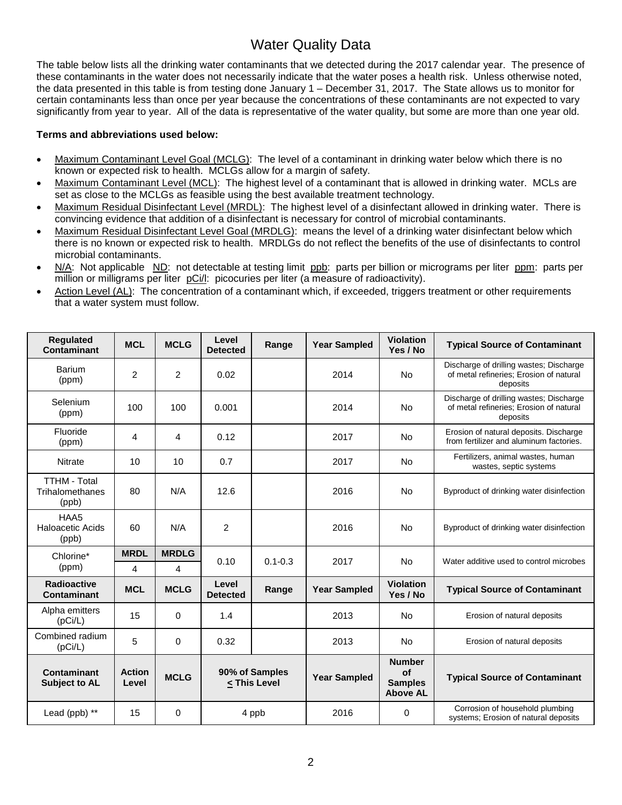## Water Quality Data

The table below lists all the drinking water contaminants that we detected during the 2017 calendar year. The presence of these contaminants in the water does not necessarily indicate that the water poses a health risk. Unless otherwise noted, the data presented in this table is from testing done January 1 – December 31, 2017. The State allows us to monitor for certain contaminants less than once per year because the concentrations of these contaminants are not expected to vary significantly from year to year. All of the data is representative of the water quality, but some are more than one year old.

### **Terms and abbreviations used below:**

- Maximum Contaminant Level Goal (MCLG): The level of a contaminant in drinking water below which there is no known or expected risk to health. MCLGs allow for a margin of safety.
- Maximum Contaminant Level (MCL): The highest level of a contaminant that is allowed in drinking water. MCLs are set as close to the MCLGs as feasible using the best available treatment technology.
- Maximum Residual Disinfectant Level (MRDL): The highest level of a disinfectant allowed in drinking water. There is convincing evidence that addition of a disinfectant is necessary for control of microbial contaminants.
- Maximum Residual Disinfectant Level Goal (MRDLG): means the level of a drinking water disinfectant below which there is no known or expected risk to health. MRDLGs do not reflect the benefits of the use of disinfectants to control microbial contaminants.
- N/A: Not applicable ND: not detectable at testing limit ppb: parts per billion or micrograms per liter ppm: parts per million or milligrams per liter pCi/l: picocuries per liter (a measure of radioactivity).
- Action Level (AL): The concentration of a contaminant which, if exceeded, triggers treatment or other requirements that a water system must follow.

| <b>Regulated</b><br><b>Contaminant</b>          | <b>MCL</b>             | <b>MCLG</b>  | Level<br><b>Detected</b> | Range                                                                                                                                                                                        | <b>Year Sampled</b> | <b>Violation</b><br>Yes / No                             | <b>Typical Source of Contaminant</b>                                                           |
|-------------------------------------------------|------------------------|--------------|--------------------------|----------------------------------------------------------------------------------------------------------------------------------------------------------------------------------------------|---------------------|----------------------------------------------------------|------------------------------------------------------------------------------------------------|
| <b>Barium</b><br>(ppm)                          | $\overline{2}$         | 2            | 0.02                     |                                                                                                                                                                                              | 2014                | <b>No</b>                                                | Discharge of drilling wastes; Discharge<br>of metal refineries: Erosion of natural<br>deposits |
| Selenium<br>(ppm)                               | 100                    | 100          | 0.001                    |                                                                                                                                                                                              | 2014                | <b>No</b>                                                | Discharge of drilling wastes; Discharge<br>of metal refineries: Erosion of natural<br>deposits |
| Fluoride<br>(ppm)                               | 4                      | 4            | 0.12                     |                                                                                                                                                                                              | 2017                | No                                                       | Erosion of natural deposits. Discharge<br>from fertilizer and aluminum factories.              |
| <b>Nitrate</b>                                  | 10                     | 10           | 0.7                      |                                                                                                                                                                                              | 2017                | No                                                       | Fertilizers, animal wastes, human<br>wastes, septic systems                                    |
| <b>TTHM - Total</b><br>Trihalomethanes<br>(ppb) | 80                     | N/A          | 12.6                     |                                                                                                                                                                                              | 2016                | <b>No</b>                                                | Byproduct of drinking water disinfection                                                       |
| HAA5<br>Haloacetic Acids<br>(ppb)               | 60                     | N/A          | 2                        |                                                                                                                                                                                              | 2016                | No                                                       | Byproduct of drinking water disinfection                                                       |
| Chlorine*<br>(ppm)                              | <b>MRDL</b>            | <b>MRDLG</b> | 0.10                     | $0.1 - 0.3$                                                                                                                                                                                  | 2017                | <b>No</b>                                                | Water additive used to control microbes                                                        |
|                                                 | 4                      | 4            |                          |                                                                                                                                                                                              |                     |                                                          |                                                                                                |
| <b>Radioactive</b><br>Contaminant               | <b>MCL</b>             | <b>MCLG</b>  | Level<br><b>Detected</b> | Range                                                                                                                                                                                        | <b>Year Sampled</b> | <b>Violation</b><br>Yes / No                             | <b>Typical Source of Contaminant</b>                                                           |
| Alpha emitters<br>(pCi/L)                       | 15                     | $\Omega$     | 1.4                      |                                                                                                                                                                                              | 2013                | <b>No</b>                                                | Erosion of natural deposits                                                                    |
| Combined radium<br>(pCi/L)                      | 5                      | $\Omega$     | 0.32                     |                                                                                                                                                                                              | 2013                | <b>No</b>                                                | Erosion of natural deposits                                                                    |
| Contaminant<br><b>Subject to AL</b>             | <b>Action</b><br>Level | <b>MCLG</b>  |                          | 90% of Samples<br><this level<="" td=""><td><b>Year Sampled</b></td><td><b>Number</b><br/>of<br/><b>Samples</b><br/><b>Above AL</b></td><td><b>Typical Source of Contaminant</b></td></this> | <b>Year Sampled</b> | <b>Number</b><br>of<br><b>Samples</b><br><b>Above AL</b> | <b>Typical Source of Contaminant</b>                                                           |
| Lead (ppb) **                                   | 15                     | $\Omega$     |                          | 4 ppb                                                                                                                                                                                        | 2016                | 0                                                        | Corrosion of household plumbing<br>systems; Erosion of natural deposits                        |